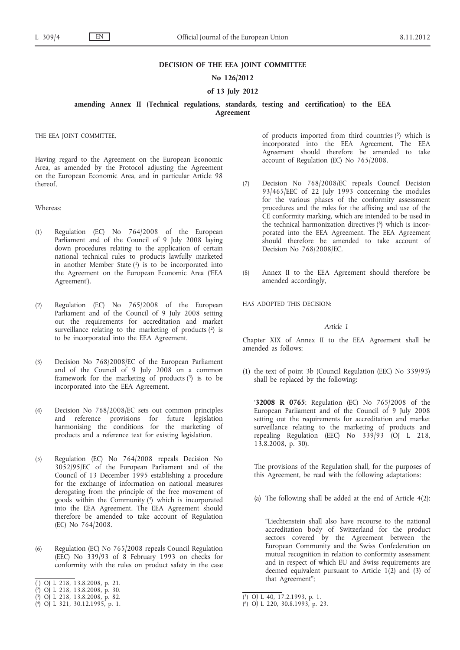## **DECISION OF THE EEA JOINT COMMITTEE**

# **No 126/2012**

# **of 13 July 2012**

**amending Annex II (Technical regulations, standards, testing and certification) to the EEA Agreement**

THE EEA JOINT COMMITTEE,

Having regard to the Agreement on the European Economic Area, as amended by the Protocol adjusting the Agreement on the European Economic Area, and in particular Article 98 thereof,

Whereas:

- (1) Regulation (EC) No 764/2008 of the European Parliament and of the Council of 9 July 2008 laying down procedures relating to the application of certain national technical rules to products lawfully marketed in another Member State  $(1)$  is to be incorporated into the Agreement on the European Economic Area ('EEA Agreement').
- (2) Regulation (EC) No 765/2008 of the European Parliament and of the Council of 9 July 2008 setting out the requirements for accreditation and market surveillance relating to the marketing of products  $(2)$  is to be incorporated into the EEA Agreement.
- (3) Decision No 768/2008/EC of the European Parliament and of the Council of 9 July 2008 on a common framework for the marketing of products  $(3)$  is to be incorporated into the EEA Agreement.
- (4) Decision No 768/2008/EC sets out common principles and reference provisions for future legislation harmonising the conditions for the marketing of products and a reference text for existing legislation.
- (5) Regulation (EC) No 764/2008 repeals Decision No 3052/95/EC of the European Parliament and of the Council of 13 December 1995 establishing a procedure for the exchange of information on national measures derogating from the principle of the free movement of goods within the Community (4) which is incorporated into the EEA Agreement. The EEA Agreement should therefore be amended to take account of Regulation (EC) No 764/2008.
- (6) Regulation (EC) No 765/2008 repeals Council Regulation (EEC) No 339/93 of 8 February 1993 on checks for conformity with the rules on product safety in the case
- ( 1) OJ L 218, 13.8.2008, p. 21.

( 3) OJ L 218, 13.8.2008, p. 82.

of products imported from third countries  $(5)$  which is incorporated into the EEA Agreement. The EEA Agreement should therefore be amended to take account of Regulation (EC) No 765/2008.

- (7) Decision No 768/2008/EC repeals Council Decision 93/465/EEC of 22 July 1993 concerning the modules for the various phases of the conformity assessment procedures and the rules for the affixing and use of the CE conformity marking, which are intended to be used in the technical harmonization directives  $(6)$  which is incorporated into the EEA Agreement. The EEA Agreement should therefore be amended to take account of Decision No 768/2008/EC.
- (8) Annex II to the EEA Agreement should therefore be amended accordingly,

HAS ADOPTED THIS DECISION:

### *Article 1*

Chapter XIX of Annex II to the EEA Agreement shall be amended as follows:

(1) the text of point 3b (Council Regulation (EEC) No 339/93) shall be replaced by the following:

'**32008 R 0765**: Regulation (EC) No 765/2008 of the European Parliament and of the Council of 9 July 2008 setting out the requirements for accreditation and market surveillance relating to the marketing of products and repealing Regulation (EEC) No  $339/93$  (OJ L 218, 13.8.2008, p. 30).

The provisions of the Regulation shall, for the purposes of this Agreement, be read with the following adaptations:

(a) The following shall be added at the end of Article 4(2):

"Liechtenstein shall also have recourse to the national accreditation body of Switzerland for the product sectors covered by the Agreement between the European Community and the Swiss Confederation on mutual recognition in relation to conformity assessment and in respect of which EU and Swiss requirements are deemed equivalent pursuant to Article  $1(2)$  and (3) of that Agreement";

<sup>(</sup> 2) OJ L 218, 13.8.2008, p. 30.

<sup>(</sup> 4) OJ L 321, 30.12.1995, p. 1.

<sup>(</sup> 5) OJ L 40, 17.2.1993, p. 1.

<sup>(</sup> 6) OJ L 220, 30.8.1993, p. 23.